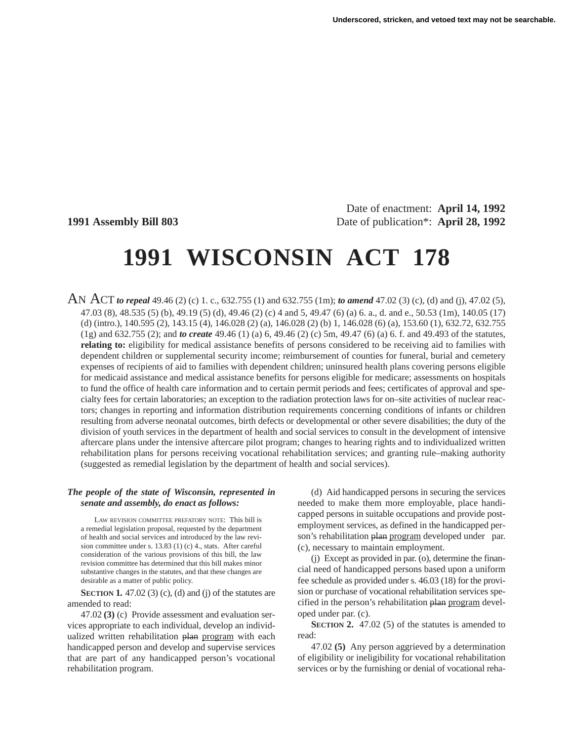Date of enactment: **April 14, 1992 1991 Assembly Bill 803** Date of publication\*: **April 28, 1992**

# **1991 WISCONSIN ACT 178**

AN ACT *to repeal* 49.46 (2) (c) 1. c., 632.755 (1) and 632.755 (1m); *to amend* 47.02 (3) (c), (d) and (j), 47.02 (5), 47.03 (8), 48.535 (5) (b), 49.19 (5) (d), 49.46 (2) (c) 4 and 5, 49.47 (6) (a) 6. a., d. and e., 50.53 (1m), 140.05 (17) (d) (intro.), 140.595 (2), 143.15 (4), 146.028 (2) (a), 146.028 (2) (b) 1, 146.028 (6) (a), 153.60 (1), 632.72, 632.755 (1g) and 632.755 (2); and *to create* 49.46 (1) (a) 6, 49.46 (2) (c) 5m, 49.47 (6) (a) 6. f. and 49.493 of the statutes, **relating to:** eligibility for medical assistance benefits of persons considered to be receiving aid to families with dependent children or supplemental security income; reimbursement of counties for funeral, burial and cemetery expenses of recipients of aid to families with dependent children; uninsured health plans covering persons eligible for medicaid assistance and medical assistance benefits for persons eligible for medicare; assessments on hospitals to fund the office of health care information and to certain permit periods and fees; certificates of approval and specialty fees for certain laboratories; an exception to the radiation protection laws for on–site activities of nuclear reactors; changes in reporting and information distribution requirements concerning conditions of infants or children resulting from adverse neonatal outcomes, birth defects or developmental or other severe disabilities; the duty of the division of youth services in the department of health and social services to consult in the development of intensive aftercare plans under the intensive aftercare pilot program; changes to hearing rights and to individualized written rehabilitation plans for persons receiving vocational rehabilitation services; and granting rule–making authority (suggested as remedial legislation by the department of health and social services).

#### *The people of the state of Wisconsin, represented in senate and assembly, do enact as follows:*

LAW REVISION COMMITTEE PREFATORY NOTE: This bill is a remedial legislation proposal, requested by the department of health and social services and introduced by the law revision committee under s. 13.83 (1) (c) 4., stats. After careful consideration of the various provisions of this bill, the law revision committee has determined that this bill makes minor substantive changes in the statutes, and that these changes are desirable as a matter of public policy.

**SECTION 1.** 47.02 (3) (c), (d) and (j) of the statutes are amended to read:

47.02 **(3)** (c) Provide assessment and evaluation services appropriate to each individual, develop an individualized written rehabilitation plan program with each handicapped person and develop and supervise services that are part of any handicapped person's vocational rehabilitation program.

(d) Aid handicapped persons in securing the services needed to make them more employable, place handicapped persons in suitable occupations and provide postemployment services, as defined in the handicapped person's rehabilitation plan program developed under par. (c), necessary to maintain employment.

(j) Except as provided in par. (o), determine the financial need of handicapped persons based upon a uniform fee schedule as provided under s. 46.03 (18) for the provision or purchase of vocational rehabilitation services specified in the person's rehabilitation plan program developed under par. (c).

**SECTION 2.** 47.02 (5) of the statutes is amended to read:

47.02 **(5)** Any person aggrieved by a determination of eligibility or ineligibility for vocational rehabilitation services or by the furnishing or denial of vocational reha-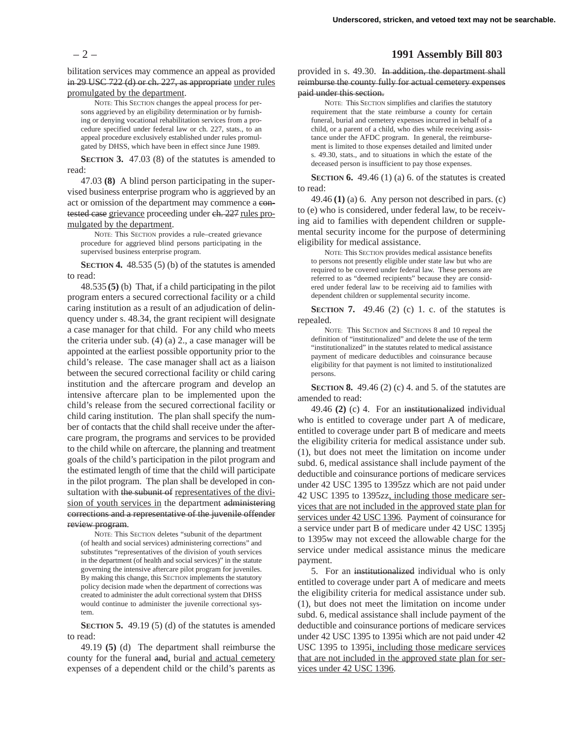bilitation services may commence an appeal as provided in 29 USC 722 (d) or ch. 227, as appropriate under rules promulgated by the department.

NOTE: This SECTION changes the appeal process for persons aggrieved by an eligibility determination or by furnishing or denying vocational rehabilitation services from a procedure specified under federal law or ch. 227, stats., to an appeal procedure exclusively established under rules promulgated by DHSS, which have been in effect since June 1989.

**SECTION 3.** 47.03 (8) of the statutes is amended to read:

47.03 **(8)** A blind person participating in the supervised business enterprise program who is aggrieved by an act or omission of the department may commence a contested case grievance proceeding under ch. 227 rules promulgated by the department.

NOTE: This SECTION provides a rule–created grievance procedure for aggrieved blind persons participating in the supervised business enterprise program.

**SECTION 4.** 48.535 (5) (b) of the statutes is amended to read:

48.535 **(5)** (b) That, if a child participating in the pilot program enters a secured correctional facility or a child caring institution as a result of an adjudication of delinquency under s. 48.34, the grant recipient will designate a case manager for that child. For any child who meets the criteria under sub. (4) (a) 2., a case manager will be appointed at the earliest possible opportunity prior to the child's release. The case manager shall act as a liaison between the secured correctional facility or child caring institution and the aftercare program and develop an intensive aftercare plan to be implemented upon the child's release from the secured correctional facility or child caring institution. The plan shall specify the number of contacts that the child shall receive under the aftercare program, the programs and services to be provided to the child while on aftercare, the planning and treatment goals of the child's participation in the pilot program and the estimated length of time that the child will participate in the pilot program. The plan shall be developed in consultation with the subunit of representatives of the division of youth services in the department administering corrections and a representative of the juvenile offender review program.

NOTE: This SECTION deletes "subunit of the department (of health and social services) administering corrections" and substitutes "representatives of the division of youth services in the department (of health and social services)" in the statute governing the intensive aftercare pilot program for juveniles. By making this change, this SECTION implements the statutory policy decision made when the department of corrections was created to administer the adult correctional system that DHSS would continue to administer the juvenile correctional system.

**SECTION 5.** 49.19 (5) (d) of the statutes is amended to read:

49.19 **(5)** (d) The department shall reimburse the county for the funeral and, burial and actual cemetery expenses of a dependent child or the child's parents as

### – 2 – **1991 Assembly Bill 803**

provided in s. 49.30. In addition, the department shall reimburse the county fully for actual cemetery expenses paid under this section.

NOTE: This SECTION simplifies and clarifies the statutory requirement that the state reimburse a county for certain funeral, burial and cemetery expenses incurred in behalf of a child, or a parent of a child, who dies while receiving assistance under the AFDC program. In general, the reimbursement is limited to those expenses detailed and limited under s. 49.30, stats., and to situations in which the estate of the deceased person is insufficient to pay those expenses.

**SECTION 6.** 49.46 (1) (a) 6. of the statutes is created to read:

49.46 **(1)** (a) 6. Any person not described in pars. (c) to (e) who is considered, under federal law, to be receiving aid to families with dependent children or supplemental security income for the purpose of determining eligibility for medical assistance.

NOTE: This SECTION provides medical assistance benefits to persons not presently eligible under state law but who are required to be covered under federal law. These persons are referred to as "deemed recipients" because they are considered under federal law to be receiving aid to families with dependent children or supplemental security income.

**SECTION 7.** 49.46 (2) (c) 1. c. of the statutes is repealed.

NOTE: This SECTION and SECTIONS 8 and 10 repeal the definition of "institutionalized" and delete the use of the term "institutionalized" in the statutes related to medical assistance payment of medicare deductibles and coinsurance because eligibility for that payment is not limited to institutionalized persons.

**SECTION 8.** 49.46 (2) (c) 4. and 5. of the statutes are amended to read:

49.46 **(2)** (c) 4. For an institutionalized individual who is entitled to coverage under part A of medicare, entitled to coverage under part B of medicare and meets the eligibility criteria for medical assistance under sub. (1), but does not meet the limitation on income under subd. 6, medical assistance shall include payment of the deductible and coinsurance portions of medicare services under 42 USC 1395 to 1395zz which are not paid under 42 USC 1395 to 1395zz, including those medicare services that are not included in the approved state plan for services under 42 USC 1396. Payment of coinsurance for a service under part B of medicare under 42 USC 1395j to 1395w may not exceed the allowable charge for the service under medical assistance minus the medicare payment.

5. For an institutionalized individual who is only entitled to coverage under part A of medicare and meets the eligibility criteria for medical assistance under sub. (1), but does not meet the limitation on income under subd. 6, medical assistance shall include payment of the deductible and coinsurance portions of medicare services under 42 USC 1395 to 1395i which are not paid under 42 USC 1395 to 1395i, including those medicare services that are not included in the approved state plan for services under 42 USC 1396.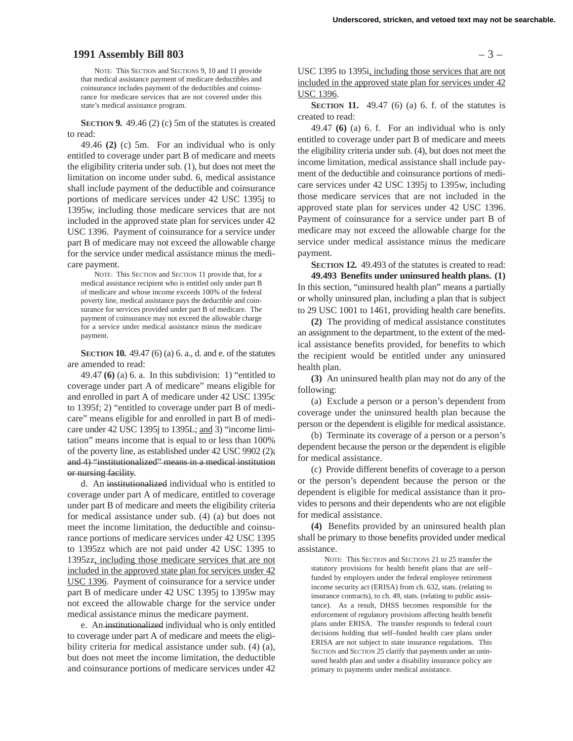## **1991 Assembly Bill 803** – 3 –

NOTE: This SECTION and SECTIONS 9, 10 and 11 provide that medical assistance payment of medicare deductibles and coinsurance includes payment of the deductibles and coinsurance for medicare services that are not covered under this state's medical assistance program.

**SECTION 9.** 49.46 (2) (c) 5m of the statutes is created to read:

49.46 **(2)** (c) 5m. For an individual who is only entitled to coverage under part B of medicare and meets the eligibility criteria under sub. (1), but does not meet the limitation on income under subd. 6, medical assistance shall include payment of the deductible and coinsurance portions of medicare services under 42 USC 1395j to 1395w, including those medicare services that are not included in the approved state plan for services under 42 USC 1396. Payment of coinsurance for a service under part B of medicare may not exceed the allowable charge for the service under medical assistance minus the medicare payment.

NOTE: This SECTION and SECTION 11 provide that, for a medical assistance recipient who is entitled only under part B of medicare and whose income exceeds 100% of the federal poverty line, medical assistance pays the deductible and coinsurance for services provided under part B of medicare. The payment of coinsurance may not exceed the allowable charge for a service under medical assistance minus the medicare payment.

**SECTION 10.** 49.47 (6) (a) 6. a., d. and e. of the statutes are amended to read:

49.47 **(6)** (a) 6. a. In this subdivision: 1) "entitled to coverage under part A of medicare" means eligible for and enrolled in part A of medicare under 42 USC 1395c to 1395f; 2) "entitled to coverage under part B of medicare" means eligible for and enrolled in part B of medicare under 42 USC 1395j to 1395L; and 3) "income limitation" means income that is equal to or less than 100% of the poverty line, as established under 42 USC 9902 (2); and 4) "institutionalized" means in a medical institution or nursing facility.

d. An institutionalized individual who is entitled to coverage under part A of medicare, entitled to coverage under part B of medicare and meets the eligibility criteria for medical assistance under sub. (4) (a) but does not meet the income limitation, the deductible and coinsurance portions of medicare services under 42 USC 1395 to 1395zz which are not paid under 42 USC 1395 to 1395zz, including those medicare services that are not included in the approved state plan for services under 42 USC 1396. Payment of coinsurance for a service under part B of medicare under 42 USC 1395j to 1395w may not exceed the allowable charge for the service under medical assistance minus the medicare payment.

e. An institutionalized individual who is only entitled to coverage under part A of medicare and meets the eligibility criteria for medical assistance under sub. (4) (a), but does not meet the income limitation, the deductible and coinsurance portions of medicare services under 42

USC 1395 to 1395i, including those services that are not included in the approved state plan for services under 42 USC 1396.

**SECTION 11.** 49.47 (6) (a) 6. f. of the statutes is created to read:

49.47 **(6)** (a) 6. f. For an individual who is only entitled to coverage under part B of medicare and meets the eligibility criteria under sub. (4), but does not meet the income limitation, medical assistance shall include payment of the deductible and coinsurance portions of medicare services under 42 USC 1395j to 1395w, including those medicare services that are not included in the approved state plan for services under 42 USC 1396. Payment of coinsurance for a service under part B of medicare may not exceed the allowable charge for the service under medical assistance minus the medicare payment.

**SECTION 12.** 49.493 of the statutes is created to read: **49.493 Benefits under uninsured health plans. (1)** In this section, "uninsured health plan" means a partially or wholly uninsured plan, including a plan that is subject to 29 USC 1001 to 1461, providing health care benefits.

**(2)** The providing of medical assistance constitutes an assignment to the department, to the extent of the medical assistance benefits provided, for benefits to which the recipient would be entitled under any uninsured health plan.

**(3)** An uninsured health plan may not do any of the following:

(a) Exclude a person or a person's dependent from coverage under the uninsured health plan because the person or the dependent is eligible for medical assistance.

(b) Terminate its coverage of a person or a person's dependent because the person or the dependent is eligible for medical assistance.

(c) Provide different benefits of coverage to a person or the person's dependent because the person or the dependent is eligible for medical assistance than it provides to persons and their dependents who are not eligible for medical assistance.

**(4)** Benefits provided by an uninsured health plan shall be primary to those benefits provided under medical assistance.

NOTE: This SECTION and SECTIONS 21 to 25 transfer the statutory provisions for health benefit plans that are self– funded by employers under the federal employee retirement income security act (ERISA) from ch. 632, stats. (relating to insurance contracts), to ch. 49, stats. (relating to public assistance). As a result, DHSS becomes responsible for the enforcement of regulatory provisions affecting health benefit plans under ERISA. The transfer responds to federal court decisions holding that self–funded health care plans under ERISA are not subject to state insurance regulations. This SECTION and SECTION 25 clarify that payments under an uninsured health plan and under a disability insurance policy are primary to payments under medical assistance.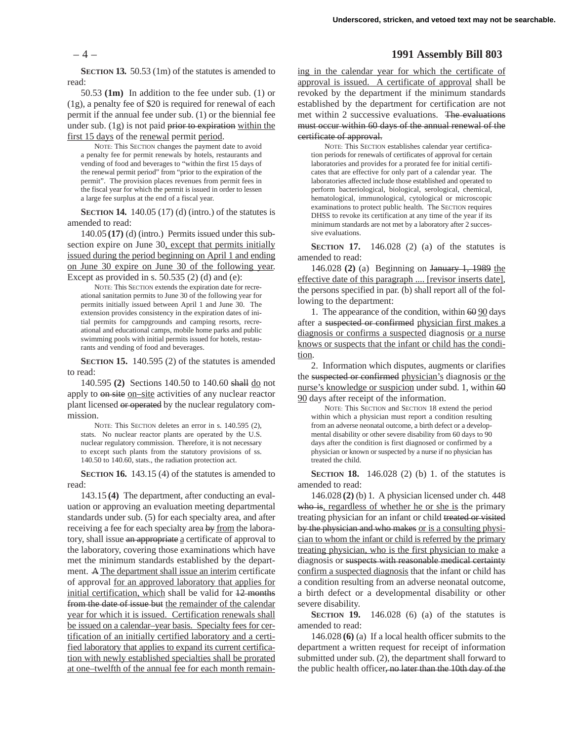**SECTION 13.** 50.53 (1m) of the statutes is amended to read:

50.53 **(1m)** In addition to the fee under sub. (1) or (1g), a penalty fee of \$20 is required for renewal of each permit if the annual fee under sub. (1) or the biennial fee under sub.  $(1g)$  is not paid prior to expiration within the first 15 days of the renewal permit period.

NOTE: This SECTION changes the payment date to avoid a penalty fee for permit renewals by hotels, restaurants and vending of food and beverages to "within the first 15 days of the renewal permit period" from "prior to the expiration of the permit". The provision places revenues from permit fees in the fiscal year for which the permit is issued in order to lessen a large fee surplus at the end of a fiscal year.

**SECTION 14.** 140.05 (17) (d) (intro.) of the statutes is amended to read:

140.05 **(17)** (d) (intro.) Permits issued under this subsection expire on June 30, except that permits initially issued during the period beginning on April 1 and ending on June 30 expire on June 30 of the following year. Except as provided in s.  $50.535$  (2) (d) and (e):

NOTE: This SECTION extends the expiration date for recreational sanitation permits to June 30 of the following year for permits initially issued between April 1 and June 30. The extension provides consistency in the expiration dates of initial permits for campgrounds and camping resorts, recreational and educational camps, mobile home parks and public swimming pools with initial permits issued for hotels, restaurants and vending of food and beverages.

**SECTION 15.** 140.595 (2) of the statutes is amended to read:

140.595 **(2)** Sections 140.50 to 140.60 shall do not apply to on site on–site activities of any nuclear reactor plant licensed or operated by the nuclear regulatory commission.

NOTE: This SECTION deletes an error in s. 140.595 (2), stats. No nuclear reactor plants are operated by the U.S. nuclear regulatory commission. Therefore, it is not necessary to except such plants from the statutory provisions of ss. 140.50 to 140.60, stats., the radiation protection act.

**SECTION 16.** 143.15 (4) of the statutes is amended to read:

143.15 **(4)** The department, after conducting an evaluation or approving an evaluation meeting departmental standards under sub. (5) for each specialty area, and after receiving a fee for each specialty area by from the laboratory, shall issue an appropriate a certificate of approval to the laboratory, covering those examinations which have met the minimum standards established by the department. A The department shall issue an interim certificate of approval for an approved laboratory that applies for initial certification, which shall be valid for 12 months from the date of issue but the remainder of the calendar year for which it is issued. Certification renewals shall be issued on a calendar–year basis. Specialty fees for certification of an initially certified laboratory and a certified laboratory that applies to expand its current certification with newly established specialties shall be prorated at one–twelfth of the annual fee for each month remain-

## – 4 – **1991 Assembly Bill 803**

ing in the calendar year for which the certificate of approval is issued. A certificate of approval shall be revoked by the department if the minimum standards established by the department for certification are not met within 2 successive evaluations. The evaluations must occur within 60 days of the annual renewal of the certificate of approval.

NOTE: This SECTION establishes calendar year certification periods for renewals of certificates of approval for certain laboratories and provides for a prorated fee for initial certificates that are effective for only part of a calendar year. The laboratories affected include those established and operated to perform bacteriological, biological, serological, chemical, hematological, immunological, cytological or microscopic examinations to protect public health. The SECTION requires DHSS to revoke its certification at any time of the year if its minimum standards are not met by a laboratory after 2 successive evaluations.

**SECTION 17.** 146.028 (2) (a) of the statutes is amended to read:

146.028 **(2)** (a) Beginning on January 1, 1989 the effective date of this paragraph .... [revisor inserts date], the persons specified in par. (b) shall report all of the following to the department:

1. The appearance of the condition, within  $60\overline{90}$  days after a suspected or confirmed physician first makes a diagnosis or confirms a suspected diagnosis or a nurse knows or suspects that the infant or child has the condition.

2. Information which disputes, augments or clarifies the suspected or confirmed physician's diagnosis or the nurse's knowledge or suspicion under subd. 1, within 60 90 days after receipt of the information.

NOTE: This SECTION and SECTION 18 extend the period within which a physician must report a condition resulting from an adverse neonatal outcome, a birth defect or a developmental disability or other severe disability from 60 days to 90 days after the condition is first diagnosed or confirmed by a physician or known or suspected by a nurse if no physician has treated the child.

**SECTION 18.** 146.028 (2) (b) 1. of the statutes is amended to read:

146.028 **(2)** (b) 1. A physician licensed under ch. 448 who is, regardless of whether he or she is the primary treating physician for an infant or child treated or visited by the physician and who makes or is a consulting physician to whom the infant or child is referred by the primary treating physician, who is the first physician to make a diagnosis or suspects with reasonable medical certainty confirm a suspected diagnosis that the infant or child has a condition resulting from an adverse neonatal outcome, a birth defect or a developmental disability or other severe disability.

**SECTION 19.** 146.028 (6) (a) of the statutes is amended to read:

146.028 **(6)** (a) If a local health officer submits to the department a written request for receipt of information submitted under sub. (2), the department shall forward to the public health officer, no later than the 10th day of the